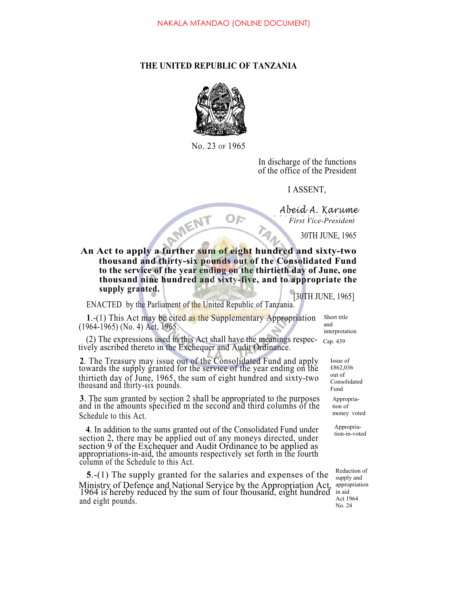## **THE UNITED REPUBLIC OF TANZANIA**



No. 23 OF 1965

In discharge of the functions of the office of the President

I ASSENT,

*Abeid A. Karume First Vice-President*

30TH JUNE, 1965

First Vice-President<br>
An Act to apply a further sum of eight hundred and sixty-two **thousand and thirty-six pounds out of the Consolidated Fund to the service of the year ending on the thirtieth day of June, one thousand nine hundred and sixty-five, and to appropriate the supply granted.**

OF

[30TH JUNE, 1965]

ENACTED by the Parliament of the United Republic of Tanzania.

**1**.-(1) This Act may be cited as the Supplementary Appropriation (1964-1965) (No. 4) Act, 1965.

(2) The expressions used in this Act shall have the meanings respec- tively ascribed thereto in the Exchequer and Audit Ordinance.

**2**. The Treasury may issue out of the Consolidated Fund and apply towards the supply granted for the service of the year ending on the thirtieth day of June, 1965, the sum of eight hundred and sixty-two thousand and thirty-six pounds.

**3**. The sum granted by section 2 shall be appropriated to the purposes and in the amounts specified m the second and third columns of the Schedule to this Act.

**4**. In addition to the sums granted out of the Consolidated Fund under section 2, there may be applied out of any moneys directed, under section 9 of the Exchequer and Audit Ordinance to be applied as appropriations-in-aid, the amounts respectively set forth in the fourth column of the Schedule to this Act.

**5**.-(1) The supply granted for the salaries and expenses of the Ministry of Defence and National Service by the Appropriation Act, 1964 is hereby reduced by the sum of four thousand, eight hundred and eight pounds.

Cap. 439 Short title and interpretation

> Appropria-Issue of £862,036 out of Consolidated Fund

tion of money voted

Appropriation-in-voted

Reduction of supply and appropriation in aid Act 1964 No. 24